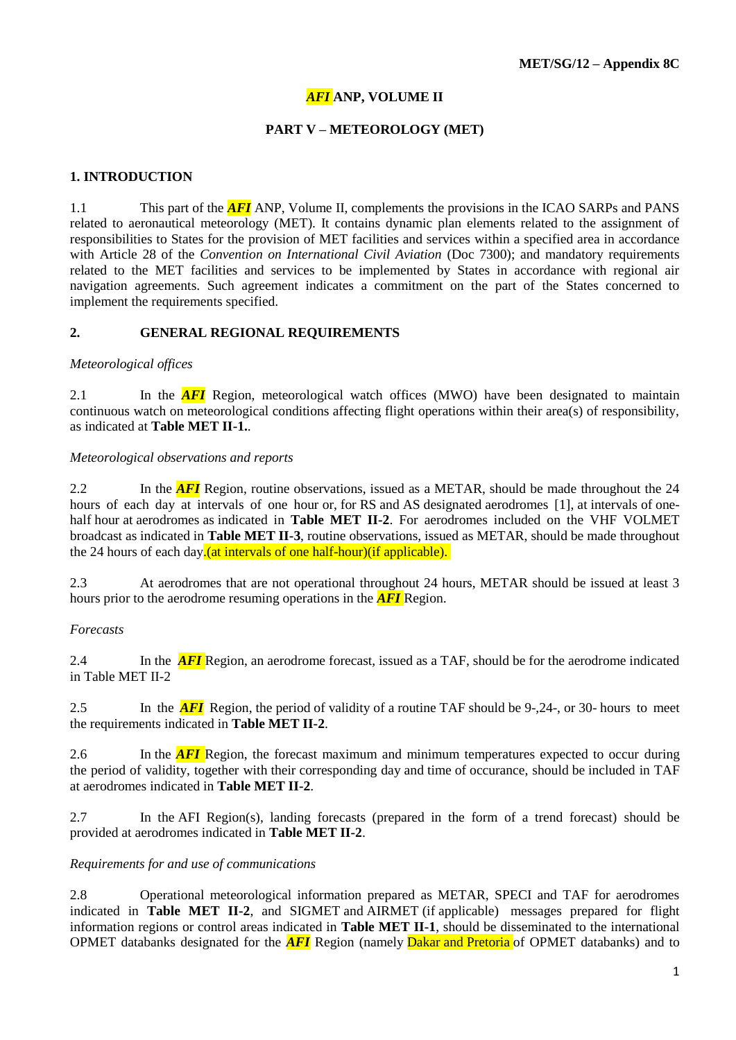## *AFI* **ANP, VOLUME II**

### **PART V – METEOROLOGY (MET)**

#### **1. INTRODUCTION**

1.1 This part of the *AFI* ANP, Volume II, complements the provisions in the ICAO SARPs and PANS related to aeronautical meteorology (MET). It contains dynamic plan elements related to the assignment of responsibilities to States for the provision of MET facilities and services within a specified area in accordance with Article 28 of the *Convention on International Civil Aviation* (Doc 7300); and mandatory requirements related to the MET facilities and services to be implemented by States in accordance with regional air navigation agreements. Such agreement indicates a commitment on the part of the States concerned to implement the requirements specified.

#### **2. GENERAL REGIONAL REQUIREMENTS**

#### *Meteorological offices*

2.1 In the **AFI** Region, meteorological watch offices (MWO) have been designated to maintain continuous watch on meteorological conditions affecting flight operations within their area(s) of responsibility, as indicated at **Table MET II-1.**.

#### *Meteorological observations and reports*

2.2 In the **AFI** Region, routine observations, issued as a METAR, should be made throughout the 24 hours of each day at intervals of one hour or, for RS and AS designated aerodromes [1], at intervals of onehalf hour at aerodromes as indicated in **Table MET II-2**. For aerodromes included on the VHF VOLMET broadcast as indicated in **Table MET II-3**, routine observations, issued as METAR, should be made throughout the 24 hours of each day.(at intervals of one half-hour)(if applicable).

2.3 At aerodromes that are not operational throughout 24 hours, METAR should be issued at least 3 hours prior to the aerodrome resuming operations in the *AFI* Region.

#### *Forecasts*

2.4 In the *AFI* Region, an aerodrome forecast, issued as a TAF, should be for the aerodrome indicated in Table MET II-2

2.5 In the **AFI** Region, the period of validity of a routine TAF should be 9-,24-, or 30- hours to meet the requirements indicated in **Table MET II-2**.

2.6 In the *AFI* Region, the forecast maximum and minimum temperatures expected to occur during the period of validity, together with their corresponding day and time of occurance, should be included in TAF at aerodromes indicated in **Table MET II-2**.

2.7 In the AFI Region(s), landing forecasts (prepared in the form of a trend forecast) should be provided at aerodromes indicated in **Table MET II-2**.

#### *Requirements for and use of communications*

2.8 Operational meteorological information prepared as METAR, SPECI and TAF for aerodromes indicated in **Table MET II-2**, and SIGMET and AIRMET (if applicable) messages prepared for flight information regions or control areas indicated in **Table MET II-1**, should be disseminated to the international OPMET databanks designated for the *AFI* Region (namely Dakar and Pretoria of OPMET databanks) and to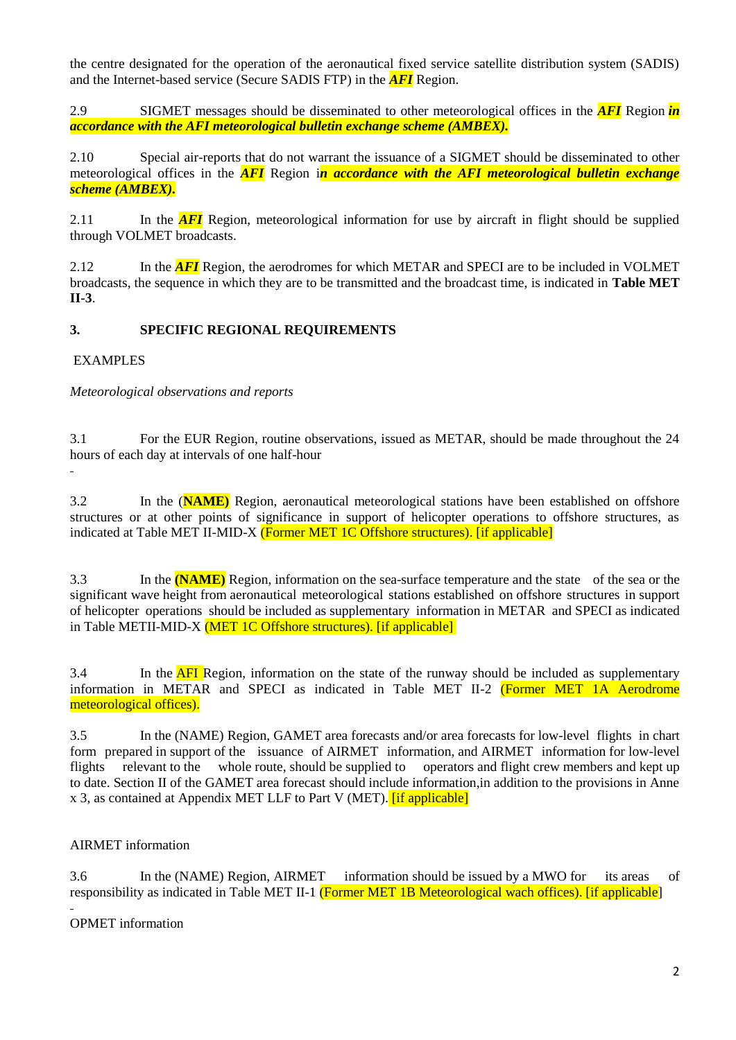the centre designated for the operation of the aeronautical fixed service satellite distribution system (SADIS) and the Internet-based service (Secure SADIS FTP) in the *AFI* Region.

2.9 SIGMET messages should be disseminated to other meteorological offices in the *AFI* Region *in accordance with the AFI meteorological bulletin exchange scheme (AMBEX).*

2.10 Special air-reports that do not warrant the issuance of a SIGMET should be disseminated to other meteorological offices in the *AFI* Region i*n accordance with the AFI meteorological bulletin exchange scheme (AMBEX).*

2.11 In the **AFI** Region, meteorological information for use by aircraft in flight should be supplied through VOLMET broadcasts.

2.12 In the **AFI** Region, the aerodromes for which METAR and SPECI are to be included in VOLMET broadcasts, the sequence in which they are to be transmitted and the broadcast time, is indicated in **Table MET II-3**.

## **3. SPECIFIC REGIONAL REQUIREMENTS**

## EXAMPLES

*Meteorological observations and reports*

3.1 For the EUR Region, routine observations, issued as METAR, should be made throughout the 24 hours of each day at intervals of one half-hour

3.2 In the (**NAME)** Region, aeronautical meteorological stations have been established on offshore structures or at other points of significance in support of helicopter operations to offshore structures, as indicated at Table MET II-MID-X (Former MET 1C Offshore structures). [if applicable]

3.3 In the **(NAME)** Region, information on the sea-surface temperature and the state of the sea or the significant wave height from aeronautical meteorological stations established on offshore structures in support of helicopter operations should be included as supplementary information in METAR and SPECI as indicated in Table METII-MID-X (MET 1C Offshore structures). [if applicable]

3.4 In the **AFI** Region, information on the state of the runway should be included as supplementary information in METAR and SPECI as indicated in Table MET II-2 (Former MET 1A Aerodrome meteorological offices).

3.5 In the (NAME) Region, GAMET area forecasts and/or area forecasts for low-level flights in chart form prepared in support of the issuance of AIRMET information, and AIRMET information for low-level flights relevant to the whole route, should be supplied to operators and flight crew members and kept up to date. Section II of the GAMET area forecast should include information,in addition to the provisions in Anne x 3, as contained at Appendix MET LLF to Part V (MET). [if applicable]

## AIRMET information

3.6 In the (NAME) Region, AIRMET information should be issued by a MWO for its areas of responsibility as indicated in Table MET II-1 (Former MET 1B Meteorological wach offices). [if applicable]

OPMET information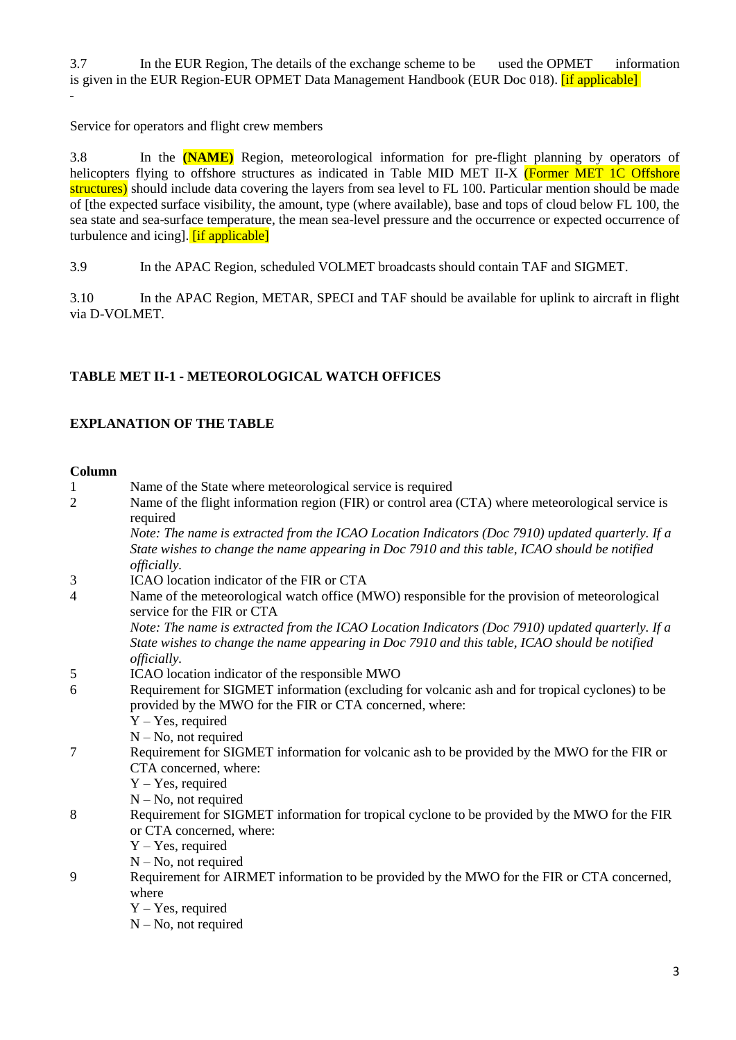3.7 In the EUR Region, The details of the exchange scheme to be used the OPMET information is given in the EUR Region-EUR OPMET Data Management Handbook (EUR Doc 018). [if applicable]

Service for operators and flight crew members

3.8 In the **(NAME)** Region, meteorological information for pre-flight planning by operators of helicopters flying to offshore structures as indicated in Table MID MET II-X (Former MET 1C Offshore structures) should include data covering the layers from sea level to FL 100. Particular mention should be made of [the expected surface visibility, the amount, type (where available), base and tops of cloud below FL 100, the sea state and sea-surface temperature, the mean sea-level pressure and the occurrence or expected occurrence of turbulence and icing]. [if applicable]

3.9 In the APAC Region, scheduled VOLMET broadcasts should contain TAF and SIGMET.

3.10 In the APAC Region, METAR, SPECI and TAF should be available for uplink to aircraft in flight via D-VOLMET.

# **TABLE MET II-1 - [METEOROLOGICAL WATCH OFFICES](https://portal.icao.int/space/ANP/Documents/AFI/FASID%20Table%20MET%20II-1.docx)**

## **EXPLANATION OF THE TABLE**

#### **Column**

| <b>Column</b>  |                                                                                                                                                                                                                         |
|----------------|-------------------------------------------------------------------------------------------------------------------------------------------------------------------------------------------------------------------------|
| $\mathbf{1}$   | Name of the State where meteorological service is required                                                                                                                                                              |
| $\overline{2}$ | Name of the flight information region (FIR) or control area (CTA) where meteorological service is<br>required                                                                                                           |
|                | Note: The name is extracted from the ICAO Location Indicators (Doc 7910) updated quarterly. If a<br>State wishes to change the name appearing in Doc 7910 and this table, ICAO should be notified<br><i>officially.</i> |
| 3              | ICAO location indicator of the FIR or CTA                                                                                                                                                                               |
| $\overline{4}$ | Name of the meteorological watch office (MWO) responsible for the provision of meteorological<br>service for the FIR or CTA                                                                                             |
|                | Note: The name is extracted from the ICAO Location Indicators (Doc 7910) updated quarterly. If a<br>State wishes to change the name appearing in Doc 7910 and this table, ICAO should be notified<br><i>officially.</i> |
| 5              | ICAO location indicator of the responsible MWO                                                                                                                                                                          |
| 6              | Requirement for SIGMET information (excluding for volcanic ash and for tropical cyclones) to be<br>provided by the MWO for the FIR or CTA concerned, where:                                                             |
|                | $Y - Yes$ , required                                                                                                                                                                                                    |
|                | $N - No$ , not required                                                                                                                                                                                                 |
| 7              | Requirement for SIGMET information for volcanic ash to be provided by the MWO for the FIR or<br>CTA concerned, where:                                                                                                   |
|                | $Y - Yes$ , required                                                                                                                                                                                                    |
|                | $N - No$ , not required                                                                                                                                                                                                 |
| 8              | Requirement for SIGMET information for tropical cyclone to be provided by the MWO for the FIR<br>or CTA concerned, where:                                                                                               |
|                | $Y - Yes$ , required                                                                                                                                                                                                    |
|                | $N - No$ , not required                                                                                                                                                                                                 |
| 9              | Requirement for AIRMET information to be provided by the MWO for the FIR or CTA concerned,<br>where                                                                                                                     |
|                | $Y - Yes$ , required                                                                                                                                                                                                    |
|                | $N - No$ , not required                                                                                                                                                                                                 |
|                |                                                                                                                                                                                                                         |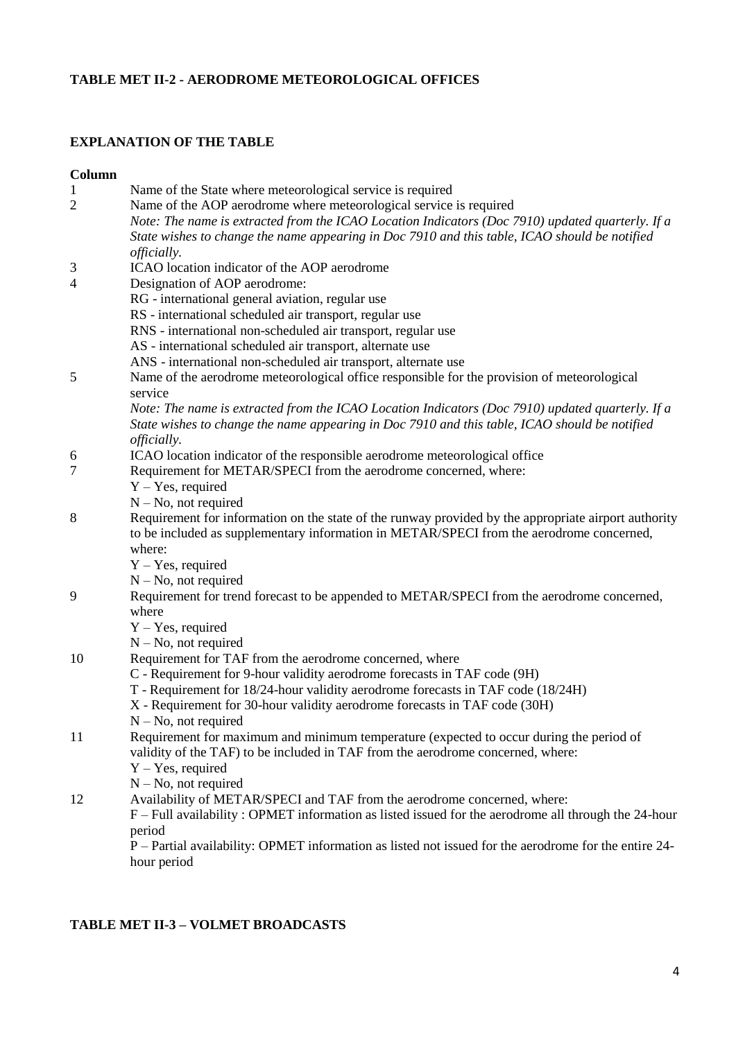# **TABLE MET II-2 - [AERODROME METEOROLOGICAL OFFICES](https://portal.icao.int/space/ANP/Documents/AFI/FASID%20Table%20MET%20II-2.docx)**

# **EXPLANATION OF THE TABLE**

#### **Column**

| $\mathbf{1}$   | Name of the State where meteorological service is required                                            |
|----------------|-------------------------------------------------------------------------------------------------------|
| $\overline{2}$ | Name of the AOP aerodrome where meteorological service is required                                    |
|                | Note: The name is extracted from the ICAO Location Indicators (Doc 7910) updated quarterly. If a      |
|                | State wishes to change the name appearing in Doc 7910 and this table, ICAO should be notified         |
|                | <i>officially.</i>                                                                                    |
| 3              | ICAO location indicator of the AOP aerodrome                                                          |
| 4              | Designation of AOP aerodrome:                                                                         |
|                | RG - international general aviation, regular use                                                      |
|                | RS - international scheduled air transport, regular use                                               |
|                | RNS - international non-scheduled air transport, regular use                                          |
|                | AS - international scheduled air transport, alternate use                                             |
|                | ANS - international non-scheduled air transport, alternate use                                        |
| 5              | Name of the aerodrome meteorological office responsible for the provision of meteorological           |
|                | service                                                                                               |
|                | Note: The name is extracted from the ICAO Location Indicators (Doc 7910) updated quarterly. If a      |
|                | State wishes to change the name appearing in Doc 7910 and this table, ICAO should be notified         |
|                | <i>officially.</i>                                                                                    |
| 6              | ICAO location indicator of the responsible aerodrome meteorological office                            |
| 7              | Requirement for METAR/SPECI from the aerodrome concerned, where:                                      |
|                | $Y - Yes$ , required                                                                                  |
|                | $N - No$ , not required                                                                               |
| 8              | Requirement for information on the state of the runway provided by the appropriate airport authority  |
|                | to be included as supplementary information in METAR/SPECI from the aerodrome concerned,              |
|                | where:                                                                                                |
|                | $Y - Yes$ , required                                                                                  |
|                | $N - No$ , not required                                                                               |
| 9              | Requirement for trend forecast to be appended to METAR/SPECI from the aerodrome concerned,            |
|                | where                                                                                                 |
|                | $Y - Yes$ , required                                                                                  |
|                | $N - No$ , not required                                                                               |
| 10             | Requirement for TAF from the aerodrome concerned, where                                               |
|                | C - Requirement for 9-hour validity aerodrome forecasts in TAF code (9H)                              |
|                | T - Requirement for 18/24-hour validity aerodrome forecasts in TAF code (18/24H)                      |
|                | X - Requirement for 30-hour validity aerodrome forecasts in TAF code (30H)                            |
|                | $N - No$ , not required                                                                               |
| 11             | Requirement for maximum and minimum temperature (expected to occur during the period of               |
|                | validity of the TAF) to be included in TAF from the aerodrome concerned, where:                       |
|                | $Y - Yes$ , required                                                                                  |
|                | $N - No$ , not required                                                                               |
| 12             | Availability of METAR/SPECI and TAF from the aerodrome concerned, where:                              |
|                | F – Full availability: OPMET information as listed issued for the aerodrome all through the 24-hour   |
|                | period                                                                                                |
|                | P – Partial availability: OPMET information as listed not issued for the aerodrome for the entire 24- |
|                | hour period                                                                                           |

## **TABLE MET II-3 – [VOLMET BROADCASTS](https://portal.icao.int/space/ANP/Documents/AFI/FASID%20Table%20MET%20II-3.docx)**